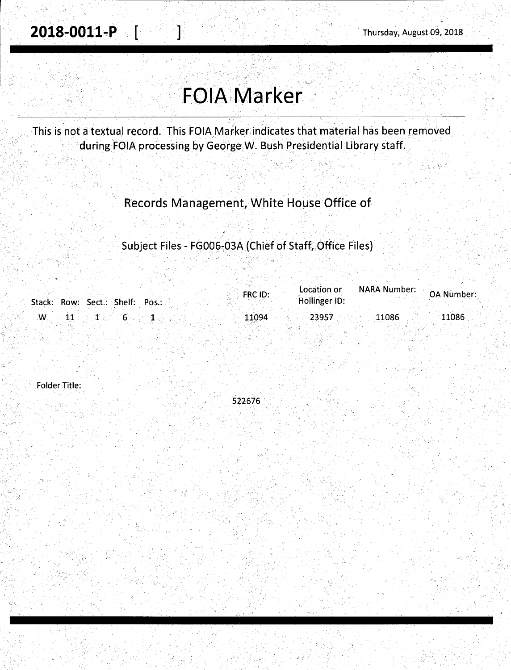*,!* ~· , .

# **FOIA Marker**

This is not a textual record. This FOIA Marker indicates that material has been removed during FOIA processing by George W. Bush Presidential Library staff.

- ·.. ' .

Records Management, White House Office of

Subject Files - FG006-03A (Chief of Staff, Office Files)

|                                                                                                                    |  | FRC ID: | Location or   | <b>NARA Number:</b> | <b>OA Number:</b>     |
|--------------------------------------------------------------------------------------------------------------------|--|---------|---------------|---------------------|-----------------------|
| Stack: Row: Sect.: Shelf: Pos.:                                                                                    |  |         | Hollinger ID: |                     |                       |
| $\mathbb{Z} \mathsf{W}_\mathbb{Z} \simeq \mathsf{1} \mathsf{1} \; \mathbb{Z} \simeq \mathsf{1} \; \mathbb{Z} \; .$ |  | 11094   | 23957         | 11086               | $\lceil 11086 \rceil$ |
|                                                                                                                    |  |         |               |                     |                       |

Folder Title:

SZ2676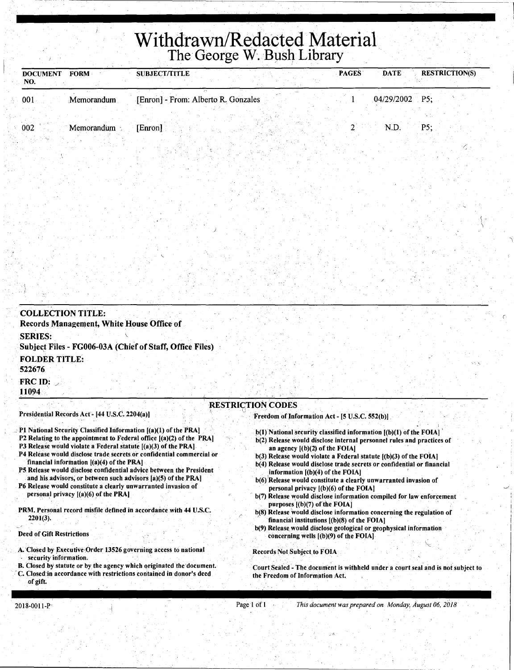# Withdrawn/Redacted Material. The George W. Bush Library

| <b>DOCUMENT</b><br><b>FORM</b><br>NO. | <b>SUBJECT/TITLE</b>                | <b>PAGES</b> | <b>RESTRICTION(S)</b><br><b>DATE</b> |
|---------------------------------------|-------------------------------------|--------------|--------------------------------------|
| 001<br>Memorandum                     | [Enron] - From: Alberto R. Gonzales |              | $04/29/2002$ P5;                     |
| 002<br>Memorandum                     | [Enron]                             |              | P5:<br>N.D.                          |
|                                       |                                     |              |                                      |

| <b>COLLECTION TITLE:</b><br>Records Management, White House Office of                                                                   |                                                                                                                                             |
|-----------------------------------------------------------------------------------------------------------------------------------------|---------------------------------------------------------------------------------------------------------------------------------------------|
| <b>SERIES:</b><br>Subject Files - FG006-03A (Chief of Staff, Office Files)                                                              |                                                                                                                                             |
| <b>FOLDER TITLE:</b><br>522676                                                                                                          |                                                                                                                                             |
| <b>FRC ID:</b><br>11094                                                                                                                 |                                                                                                                                             |
| <b>RESTRICTION CODES</b><br>Presidential Records Act - [44 U.S.C. 2204(a)]                                                              | Freedom of Information Act - [5 U.S.C. 552(b)]                                                                                              |
| P1 National Security Classified Information [(a)(1) of the PRA]<br>P2 Relating to the appointment to Federal office [(a)(2) of the PRA] | b(1) National security classified information [(b)(1) of the FOIA]<br>b(2) Release would disclose internal personnel rules and practices of |

- 
- P3 Release would violate a Federal statute  $[(a)(3)$  of the PRA].
- P4 Release would disclose trade secrets.or confidentiai commercial or financial information [(a)(4) of the PRA]
- PS Release would disclose confidential advice between the President and his.advisors; or between such advisors [a)(S) of the PRA)
- P6 Release would constitute a clearly unwarranted invasion of personal privacy  $[(a)(6)$  of the PRA]
- PRM. Personal record misfile defined in accordance with 44 U.S.C. 2201(3).

#### Deed of Gift Restrictions

- A. Closed by Executive Order 13526 governing access to national
- security information.
- B. Closed by statute or by the agency which qriginated the'document. C. Closed:in accordance with restrictions contained in donor's deed
- of gift;

b(2) Release would disclose internal personnel rules and practices of

I \

- an agency  $[(b)(2)$  of the FOIA] b(3) Release would violate a Federal statute [(b)(3) of the FOIA)
- b(4) Release would disclose trade secrets or confidential or financial information  $[(b)(4)$  of the FOIA]
- b(6) Release would constitute a clearly unwarranted invasion of personal privacy  $[(b)(6)$  of the FOIA $]$
- b(7) Release would disclose information compiled for law enforcement purposes [(b)(7) of the FOIA]
- b(8) Release would disclose information concerning the regulation of financial institutions [(b)(8) of the FOIA]
- b(9) Release would disclose geological or geophysical information concerning wells [(b)(9) of the FOIA]

Records Not Subject to FOIA

Court Sealed - The document is withheld under a court seal and is not subject to the Freedom of Information Act.

2018-0011-P Page I of l *This document was prepared on Monday, August 06, 2018*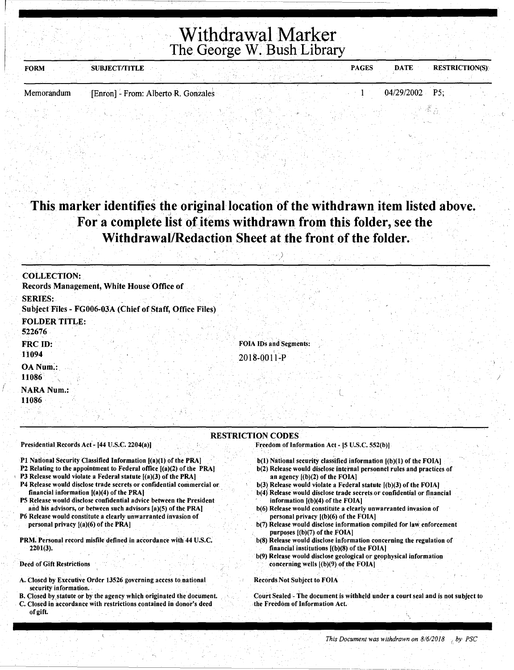### Withdrawal Marker The George W. Bush Library

| <b>FORM</b> | <b>SUBJECT/TITLE</b>                |  | <b>PAGES</b> | <b>DATE</b>    | <b>RESTRICTION(S):</b> |
|-------------|-------------------------------------|--|--------------|----------------|------------------------|
|             |                                     |  |              |                |                        |
| Memorandum  | [Enron] - From: Alberto R. Gonzales |  |              | 04/29/2002 P5: |                        |

### This marker identifies the original location of the withdrawn item listed above. For a complete list of items withdrawn from this folder, see the Withdrawal/Redaction Sheet at the front of the folder.

 $\langle \cdot \rangle$ 

| <b>COLLECTION:</b>                        |                                                          |                                              |  |  |
|-------------------------------------------|----------------------------------------------------------|----------------------------------------------|--|--|
| Records Management, White House Office of |                                                          |                                              |  |  |
| <b>SERIES:</b>                            | Subject Files - FG006-03A (Chief of Staff, Office Files) |                                              |  |  |
| <b>FOLDER TITLE:</b><br>522676            |                                                          |                                              |  |  |
| FRC ID:<br>11094                          |                                                          | <b>FOIA IDs and Segments:</b><br>2018-0011-P |  |  |
| OA Num.:<br>11086                         |                                                          |                                              |  |  |
| <b>NARA Num.:</b><br>11086                |                                                          |                                              |  |  |
|                                           |                                                          |                                              |  |  |

#### RESTRICTION CODES

Presidential Records Act- (44 U.S.C. 2204(a))

Pl National Security Classified Information [(a)(l) of the PRA)

- P2 Relating to the appointment to Federal office [(a)(2) of the PRA)
- ' P3 Release would violate a Federal statute [(a)(3) of the PRA)
- P4 Release would disclose trade secrets or confidential commercial or. financiai information [(a)(4) of the PRA)
- PS Release would disclose confidential advice between the President and his advisors, or between such advisors [a)(S) of the PRA)
- P6 Release would constitute a clearly unwarranted invasion of personal privacy [(a)(6) of the PRA)

PRM. Personal record misfile defined in accordance with 44 U.S.C. 2201(3).

Deed of Gift Restrictions

 $\vert$ 

(

- A. Closed by Executive Order 13526 governing access to.national security information.
- B. Closed by statute or by the agency which originated the document. C. Closed in accordance with restrictions contained in donor's deed
- of gift.
- Freedom of Information Act [5 U.S.C. 552(b)]
- b(l) National security classified information ((b)(l) of the FOlA)
- b(2) Release would disclose internal personnel rules and practices of an agency [(b)(2) of the FOlA)
- b(3) Release would violate a Federal statute [(b)(3) of the FOIA)
- b(4) Release would disclose trade secrets or confidential or financial information [(b)(4) of the FOlA)
- b(6) Release would constitute a clearly unwarranted invasion of personal privacy [(b)(6) of the FOlA)
- b(7) Release would disclose information compiled for law enforcement purposes [(b)(7) of the FOlA)
- b(S) Release would disclose information concerning the regulation of financial institutions [(b)(S) of the FOIA)
- b(9) Release would disclose geological or geophysical information concerningwells [(b)(9) of the FOIA)

Records Not Subject to FOIA

Court Sealed - The document is withheld under a court seal and is not subject to the Freedom of Information Act.

I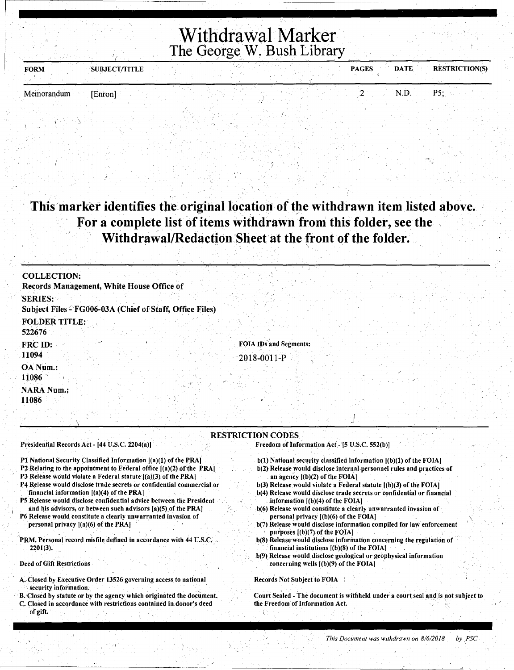## Withdrawal Marker The George W. Bush Library

| <b>FORM</b> | <b>SUBJECT/TITLE</b> |  | <b>PAGES</b> | <b>RESTRICTION(S)</b><br><b>DATE</b> |
|-------------|----------------------|--|--------------|--------------------------------------|
|             |                      |  |              |                                      |

Memorandum [Enron] 2 N.D. P5;, ·

### This marker identifies the original location of the withdrawn item listed above. For a complete list of items withdrawn from this folder, see the Withdrawal/Redaction Sheet at the front of the folder.

| <b>COLLECTION:</b>                                                                                                   |                                                                                                                                                 |
|----------------------------------------------------------------------------------------------------------------------|-------------------------------------------------------------------------------------------------------------------------------------------------|
| Records Management, White House Office of                                                                            |                                                                                                                                                 |
| <b>SERIES:</b>                                                                                                       |                                                                                                                                                 |
| Subject Files - FG006-03A (Chief of Staff, Office Files)                                                             |                                                                                                                                                 |
| <b>FOLDER TITLE:</b>                                                                                                 |                                                                                                                                                 |
| 522676                                                                                                               |                                                                                                                                                 |
| FRC ID:                                                                                                              | <b>FOIA IDs and Segments:</b>                                                                                                                   |
| 11094                                                                                                                | 2018-0011-P                                                                                                                                     |
| OA Num.:                                                                                                             |                                                                                                                                                 |
| 11086                                                                                                                |                                                                                                                                                 |
| <b>NARA Num.:</b>                                                                                                    |                                                                                                                                                 |
| 11086                                                                                                                |                                                                                                                                                 |
|                                                                                                                      |                                                                                                                                                 |
|                                                                                                                      |                                                                                                                                                 |
|                                                                                                                      | <b>RESTRICTION CODES</b>                                                                                                                        |
| Presidential Records Act - [44 U.S.C. 2204(a)]                                                                       | Freedom of Information Act - [5 U.S.C. 552(b)]                                                                                                  |
| P1 National Security Classified Information [(a)(1) of the PRA]                                                      | $b(1)$ National security classified information $(a)(1)$ of the FOIA.                                                                           |
| P2 Relating to the appointment to Federal office $[(a)(2)$ of the PRA]                                               | b(2) Release would disclose internal personnel rules and practices of                                                                           |
| P3 Release would violate a Federal statute $(a)(3)$ of the PRA                                                       | an agency $[(b)(2)$ of the FOIA]                                                                                                                |
| P4 Release would disclose trade secrets or confidential commercial or<br>financial information $[(a)(4)$ of the PRA] | $b(3)$ Release would violate a Federal statute $[(b)(3)$ of the FOIA]<br>b(4) Release would disclose trade secrets or confidential or financial |
| <b>DE</b> Dalagra would disclose confidential advise between the Ducsident                                           | information [/L\//\ of the FATA]                                                                                                                |

- P5 Release would disclose confidential advice between the President and his advisors, or between such advisors  $[a](5)$  of the PRA] P6 Release would constitute a clearly unwarranted invasion of
- personal privacy [(a)(6) of the PRA]
- PRM. Personal record misfile defined in accordance with 44 U.S.C. 2201(3).

Deed of Gift Restrictions

- A. Closed.by Executive Order 13526 governing access to national security information;
- B. Closed by statute or by the agency which originated the document. C. Closed in accordance with restrictions contained in.donor's deed of gift.
- information  $[(b)(4)$  of the FOIA]
- . b(6) Release would constitute a clearly unwarranted invasion of personal privacy [(b)(6) of the FOIA] \
- b(7) Release would disclose information compiled for law enforcement purposes [(b)(7) of the FOIA]
- b(8) Release would disclose information concerning the regulation of financial institutions  $[(b)(8)$  of the FOIA]
- b(9) Release would disclose geological or geophysical information concerning wells [(b)(9) of the FOIA]

Records Not Subject to FOIA :

Court Sealed - The document is withheld under a court seal and is not subject to the Freedom of Information Act.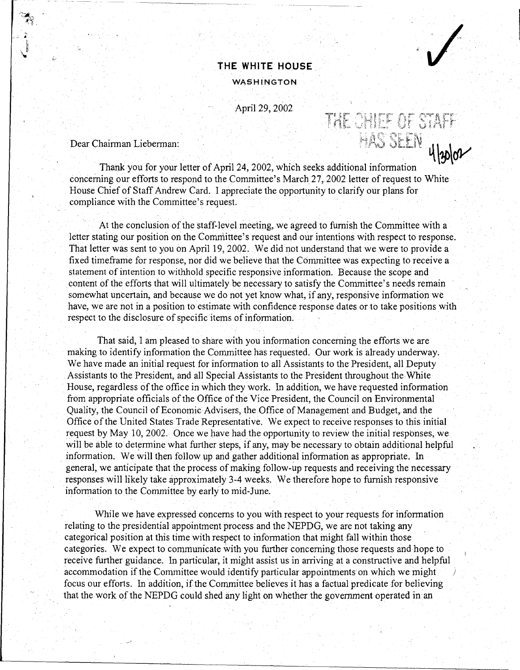#### **THE WHITE HOUSE**

#### WASHINGTON

THE CHIEF OF STAFF

April 29, 2002

 $\overline{100}$  Dear Chairman Lieberman:  $\overline{100}$  SEEN  $\overline{400}$ 

Thank you for your letter of April 24, 2002, which seeks additional information concerning our efforts to respond to the Committee's March 27, 2002 letter of request to White House Chief of Staff Andrew Card. I appreciate the opportunity to clarify our plans for compliance with the Committee's request.

At the conclusion of the staff-level meeting, we agreed to furnish the Committee with a Jetter stating our position on the Committee's request and our intentions with respect to response. That letter was sent to you on April 19, 2002. We did not understand that we were to provide a fixed timeframe for response, nor did we believe that the Committee was expecting to receive a statement of intention to withhold specific responsive information. Because the scope and content of the efforts that will ultimately be necessary to satisfy the Committee's needs remain somewhat uncertain, and because we do not yet know what, if any, responsive infonnation we have, we are not in a position to estimate with confidence response dates or to take positions with respect to the disclosure of specific items of infonnation.

That said, I am pleased to share with you infonnation concerning the efforts we are making to identify information the Committee has requested. Our work is already underway. We have made an initial request for information to all Assistants to the President, all Deputy Assistants to the President, and all Special Assistants to the President throughout the White House, regardless of the office in which they work. In addition, we have requested information from appropriate officials of the Office of the Vice President, the Council on Environmental Quality, the Council of Economic Advisers, the Office of Management and Budget, and the Office of the United States Trade Representative. We expect to receive responses to this initial request by May 10, 2002. Once we have had the opportunity to review the initial responses, we will be able to determine what further steps, if any, may be necessary to obtain additional helpful information. We will then follow up and gather additional information as appropriate. In general, we anticipate that the process of making follow-up requests and receiving the necessary responses will likely take approximately 3-4 weeks. We therefore hope to furnish responsive information to the Committee by early to mid-June.

While we have expressed concerns to you with respect to your requests for infonnation relating to the presidential appointment process and the NEPDG, we are not taking any categorical position at this time with respect to infonnation that might fall within those categories. We expect to communicate with you further concerning those requests and hope to receive further guidance. In particular, it might assist us in arriving at a constructive and helpful accommodation if the Committee would identify particular appointments on which we might *)*  focus our efforts. In addition, if the Committee believes it has a factual predicate for believing that the work of the NEPDG could shed any light on whether the government operated in an